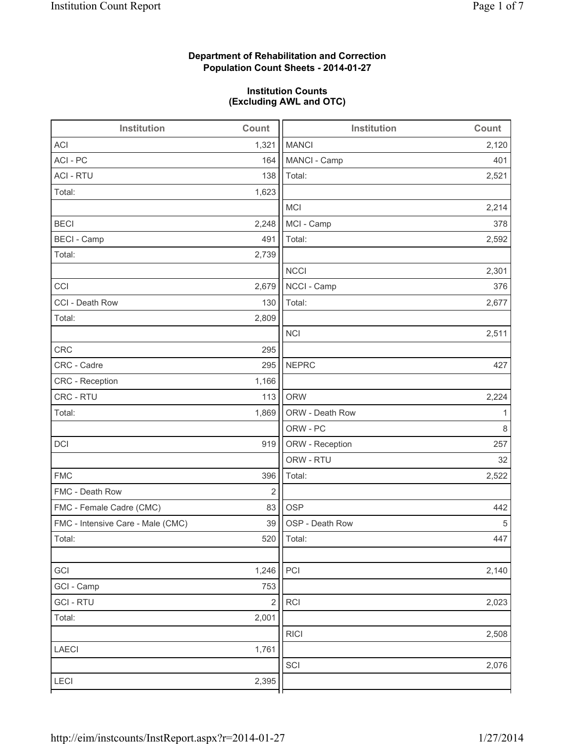# **Department of Rehabilitation and Correction Population Count Sheets - 2014-01-27**

## **Institution Counts (Excluding AWL and OTC)**

| Institution                       | Count      | <b>Institution</b> | Count |
|-----------------------------------|------------|--------------------|-------|
| <b>ACI</b>                        | 1,321      | <b>MANCI</b>       | 2,120 |
| ACI - PC                          | 164        | MANCI - Camp       | 401   |
| <b>ACI - RTU</b>                  | 138        | Total:             | 2,521 |
| Total:                            | 1,623      |                    |       |
|                                   |            | <b>MCI</b>         | 2,214 |
| <b>BECI</b>                       | 2,248      | MCI - Camp         | 378   |
| <b>BECI - Camp</b>                | 491        | Total:             | 2,592 |
| Total:                            | 2,739      |                    |       |
|                                   |            | <b>NCCI</b>        | 2,301 |
| CCI                               | 2,679      | NCCI - Camp        | 376   |
| CCI - Death Row                   | 130        | Total:             | 2,677 |
| Total:                            | 2,809      |                    |       |
|                                   |            | <b>NCI</b>         | 2,511 |
| <b>CRC</b>                        | 295        |                    |       |
| CRC - Cadre                       | 295        | <b>NEPRC</b>       | 427   |
| CRC - Reception                   | 1,166      |                    |       |
| CRC - RTU                         | 113        | <b>ORW</b>         | 2,224 |
| Total:                            | 1,869      | ORW - Death Row    | 1     |
|                                   |            | ORW - PC           | 8     |
| DCI                               | 919        | ORW - Reception    | 257   |
|                                   |            | ORW - RTU          | 32    |
| <b>FMC</b>                        | 396        | Total:             | 2,522 |
| FMC - Death Row                   | $\sqrt{2}$ |                    |       |
| FMC - Female Cadre (CMC)          | 83         | <b>OSP</b>         | 442   |
| FMC - Intensive Care - Male (CMC) | 39         | OSP - Death Row    | 5     |
| Total:                            | 520        | Total:             | 447   |
|                                   |            |                    |       |
| GCI                               | 1,246      | PCI                | 2,140 |
| GCI - Camp                        | 753        |                    |       |
| <b>GCI-RTU</b>                    | $\sqrt{2}$ | RCI                | 2,023 |
| Total:                            | 2,001      |                    |       |
|                                   |            | <b>RICI</b>        | 2,508 |
| LAECI                             | 1,761      |                    |       |
|                                   |            | SCI                | 2,076 |
| LECI                              | 2,395      |                    |       |
|                                   |            |                    |       |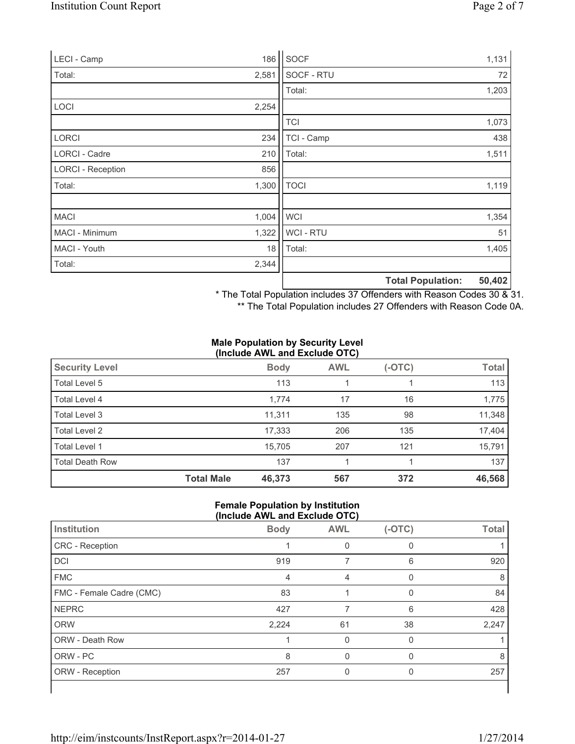| LECI - Camp              | 186   | SOCF           |                          | 1,131  |
|--------------------------|-------|----------------|--------------------------|--------|
| Total:                   | 2,581 | SOCF - RTU     |                          | 72     |
|                          |       | Total:         |                          | 1,203  |
| <b>LOCI</b>              | 2,254 |                |                          |        |
|                          |       | <b>TCI</b>     |                          | 1,073  |
| <b>LORCI</b>             | 234   | TCI - Camp     |                          | 438    |
| LORCI - Cadre            | 210   | Total:         |                          | 1,511  |
| <b>LORCI - Reception</b> | 856   |                |                          |        |
| Total:                   | 1,300 | <b>TOCI</b>    |                          | 1,119  |
|                          |       |                |                          |        |
| <b>MACI</b>              | 1,004 | <b>WCI</b>     |                          | 1,354  |
| MACI - Minimum           | 1,322 | <b>WCI-RTU</b> |                          | 51     |
| MACI - Youth             | 18    | Total:         |                          | 1,405  |
| Total:                   | 2,344 |                |                          |        |
|                          |       |                | <b>Total Population:</b> | 50,402 |

\* The Total Population includes 37 Offenders with Reason Codes 30 & 31.

\*\* The Total Population includes 27 Offenders with Reason Code 0A.

#### **Male Population by Security Level (Include AWL and Exclude OTC)**

| <b>Security Level</b>  |                   | <b>Body</b> | <b>AWL</b> | (-OTC) | <b>Total</b> |
|------------------------|-------------------|-------------|------------|--------|--------------|
| Total Level 5          |                   | 113         |            |        | 113          |
| Total Level 4          |                   | 1,774       | 17         | 16     | 1,775        |
| Total Level 3          |                   | 11,311      | 135        | 98     | 11,348       |
| Total Level 2          |                   | 17,333      | 206        | 135    | 17,404       |
| Total Level 1          |                   | 15.705      | 207        | 121    | 15,791       |
| <b>Total Death Row</b> |                   | 137         |            |        | 137          |
|                        | <b>Total Male</b> | 46,373      | 567        | 372    | 46,568       |

#### **Female Population by Institution (Include AWL and Exclude OTC)**

| Institution              | <b>Body</b> | <b>AWL</b> | $(-OTC)$ | <b>Total</b> |  |  |  |
|--------------------------|-------------|------------|----------|--------------|--|--|--|
| <b>CRC</b> - Reception   |             | 0          | 0        |              |  |  |  |
| DCI                      | 919         |            | 6        | 920          |  |  |  |
| <b>FMC</b>               | 4           | 4          |          | 8            |  |  |  |
| FMC - Female Cadre (CMC) | 83          |            | 0        | 84           |  |  |  |
| <b>NEPRC</b>             | 427         |            | 6        | 428          |  |  |  |
| <b>ORW</b>               | 2,224       | 61         | 38       | 2,247        |  |  |  |
| <b>ORW - Death Row</b>   |             | $\Omega$   | $\Omega$ |              |  |  |  |
| ORW - PC                 | 8           |            |          | 8            |  |  |  |
| ORW - Reception          | 257         | 0          | 0        | 257          |  |  |  |
|                          |             |            |          |              |  |  |  |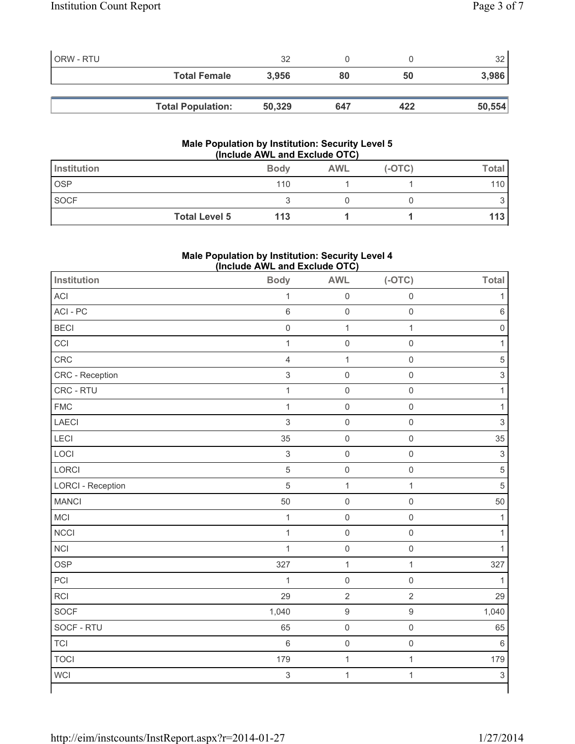| ORW - RTU |                          | 32     |     |     | つつ     |
|-----------|--------------------------|--------|-----|-----|--------|
|           | <b>Total Female</b>      | 3.956  | 80  | 50  | 3,986  |
|           |                          |        |     |     |        |
|           | <b>Total Population:</b> | 50,329 | 647 | 422 | 50,554 |

#### **Male Population by Institution: Security Level 5 (Include AWL and Exclude OTC)**

| <b>Institution</b>   | <b>Body</b> | <b>AWL</b> | $(-OTC)$ | Total |
|----------------------|-------------|------------|----------|-------|
| <b>OSP</b>           | 110         |            |          | 110   |
| SOCF                 |             |            |          |       |
| <b>Total Level 5</b> | 113         |            |          | 113   |

# **Male Population by Institution: Security Level 4 (Include AWL and Exclude OTC)**

| Institution              | <b>Body</b>               | <b>AWL</b>          | $(-OTC)$            | <b>Total</b>              |
|--------------------------|---------------------------|---------------------|---------------------|---------------------------|
| <b>ACI</b>               | $\mathbf{1}$              | $\mathsf 0$         | $\mathbf 0$         | 1                         |
| ACI-PC                   | $\,6\,$                   | $\mathsf{O}\xspace$ | $\mathsf{O}\xspace$ | $\,6\,$                   |
| <b>BECI</b>              | $\mathsf{O}\xspace$       | $\mathbf{1}$        | $\mathbf{1}$        | $\mathsf{O}\xspace$       |
| CCI                      | $\mathbf{1}$              | $\mathsf{O}\xspace$ | $\mathbf 0$         | 1                         |
| CRC                      | $\overline{4}$            | $\mathbf{1}$        | $\mathsf 0$         | $\sqrt{5}$                |
| CRC - Reception          | $\mathfrak{S}$            | $\mathsf{O}\xspace$ | $\mathbf 0$         | $\ensuremath{\mathsf{3}}$ |
| CRC - RTU                | $\mathbf{1}$              | $\mathsf{O}\xspace$ | $\mathsf{O}\xspace$ | $\mathbf{1}$              |
| <b>FMC</b>               | $\mathbf{1}$              | $\mathsf{O}\xspace$ | $\mathsf{O}\xspace$ | $\mathbf{1}$              |
| LAECI                    | $\mathsf 3$               | $\mathsf{O}\xspace$ | $\boldsymbol{0}$    | $\mathsf 3$               |
| <b>LECI</b>              | 35                        | $\mathsf{O}\xspace$ | $\mathsf{O}\xspace$ | 35                        |
| LOCI                     | $\mathfrak{S}$            | $\mathsf{O}\xspace$ | $\mathbf 0$         | $\mathsf 3$               |
| LORCI                    | $\sqrt{5}$                | $\mathsf{O}\xspace$ | $\mathsf{O}\xspace$ | $\,$ 5 $\,$               |
| <b>LORCI - Reception</b> | 5                         | $\mathbf{1}$        | $\mathbf{1}$        | 5                         |
| <b>MANCI</b>             | 50                        | $\mathsf{O}\xspace$ | $\mathbf 0$         | 50                        |
| MCI                      | $\mathbf{1}$              | $\mathsf 0$         | $\mathsf{O}\xspace$ | $\mathbf{1}$              |
| <b>NCCI</b>              | $\mathbf{1}$              | $\mathsf{O}\xspace$ | $\mathsf{O}\xspace$ | $\mathbf{1}$              |
| <b>NCI</b>               | $\mathbf{1}$              | $\mathsf{O}\xspace$ | $\mathsf{O}\xspace$ | 1                         |
| <b>OSP</b>               | 327                       | $\mathbf{1}$        | $\mathbf{1}$        | 327                       |
| PCI                      | $\mathbf{1}$              | $\mathsf{O}\xspace$ | $\boldsymbol{0}$    | $\mathbf{1}$              |
| <b>RCI</b>               | 29                        | $\sqrt{2}$          | $\sqrt{2}$          | 29                        |
| <b>SOCF</b>              | 1,040                     | $\boldsymbol{9}$    | $\boldsymbol{9}$    | 1,040                     |
| SOCF - RTU               | 65                        | $\mathsf{O}\xspace$ | $\mathsf{O}\xspace$ | 65                        |
| <b>TCI</b>               | $\,6\,$                   | $\mathsf{O}\xspace$ | $\mathsf{O}\xspace$ | $\,6\,$                   |
| <b>TOCI</b>              | 179                       | $\mathbf{1}$        | $\mathbf 1$         | 179                       |
| <b>WCI</b>               | $\ensuremath{\mathsf{3}}$ | $\mathbf{1}$        | $\mathbf 1$         | $\ensuremath{\mathsf{3}}$ |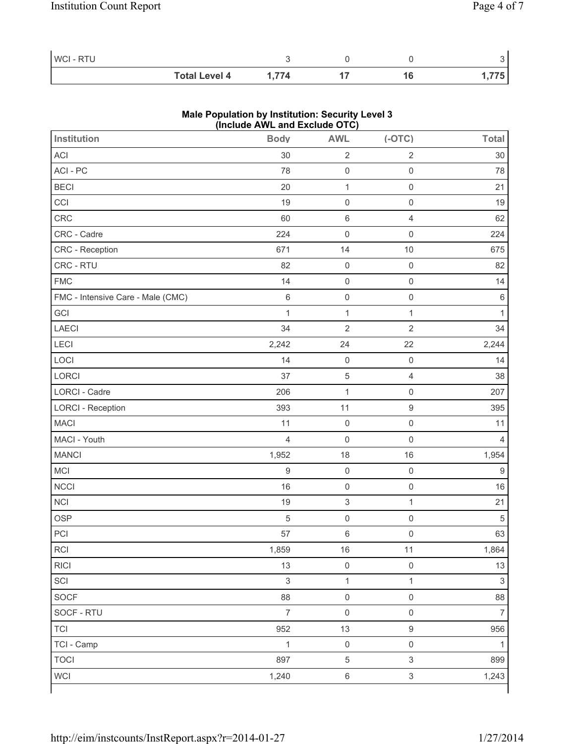| WCI-RTU |                      |      |  |     |
|---------|----------------------|------|--|-----|
|         | <b>Total Level 4</b> | .774 |  | 775 |

### **Male Population by Institution: Security Level 3 (Include AWL and Exclude OTC)**

| <b>Institution</b>                | <b>Body</b>    | <b>AWL</b>          | $(-OTC)$                  | <b>Total</b>     |
|-----------------------------------|----------------|---------------------|---------------------------|------------------|
| ACI                               | 30             | $\sqrt{2}$          | $\sqrt{2}$                | 30               |
| ACI - PC                          | 78             | $\mathsf 0$         | $\mathsf{O}\xspace$       | 78               |
| <b>BECI</b>                       | 20             | $\mathbf{1}$        | $\mathbf 0$               | 21               |
| CCI                               | 19             | $\mathsf 0$         | $\mathsf{O}\xspace$       | 19               |
| CRC                               | 60             | $\,6\,$             | $\overline{4}$            | 62               |
| CRC - Cadre                       | 224            | $\mathsf 0$         | $\mathbf 0$               | 224              |
| CRC - Reception                   | 671            | 14                  | 10                        | 675              |
| CRC - RTU                         | 82             | $\mathsf 0$         | $\mathbf 0$               | 82               |
| <b>FMC</b>                        | 14             | $\mathsf 0$         | $\mathsf{O}\xspace$       | 14               |
| FMC - Intensive Care - Male (CMC) | 6              | $\mathsf{O}\xspace$ | $\mathsf{O}\xspace$       | $\,6\,$          |
| GCI                               | $\mathbf 1$    | $\mathbf{1}$        | $\mathbf{1}$              | 1                |
| <b>LAECI</b>                      | 34             | $\overline{2}$      | $\sqrt{2}$                | 34               |
| LECI                              | 2,242          | 24                  | 22                        | 2,244            |
| LOCI                              | 14             | $\mathsf 0$         | $\mathsf{O}\xspace$       | 14               |
| LORCI                             | 37             | $\,$ 5 $\,$         | $\overline{4}$            | 38               |
| LORCI - Cadre                     | 206            | $\mathbf 1$         | $\mathbf 0$               | 207              |
| <b>LORCI - Reception</b>          | 393            | 11                  | $\boldsymbol{9}$          | 395              |
| <b>MACI</b>                       | 11             | $\mathsf 0$         | $\mathbf 0$               | 11               |
| MACI - Youth                      | $\overline{4}$ | $\mathsf 0$         | $\mathsf{O}\xspace$       | 4                |
| <b>MANCI</b>                      | 1,952          | 18                  | 16                        | 1,954            |
| MCI                               | $\hbox{9}$     | $\mathsf 0$         | $\mathbf 0$               | $\boldsymbol{9}$ |
| <b>NCCI</b>                       | 16             | $\mathsf{O}\xspace$ | $\mathsf{O}\xspace$       | 16               |
| <b>NCI</b>                        | 19             | $\mathsf 3$         | $\mathbf{1}$              | 21               |
| <b>OSP</b>                        | 5              | $\mathsf 0$         | $\mathsf{O}\xspace$       | 5                |
| PCI                               | 57             | $\,6\,$             | $\mathsf{O}\xspace$       | 63               |
| $\sf RCI$                         | 1,859          | $16\,$              | $11$                      | 1,864            |
| <b>RICI</b>                       | 13             | $\mathsf 0$         | $\mathsf{O}\xspace$       | 13               |
| SCI                               | $\mathbf{3}$   | $\mathbf{1}$        | $\mathbf{1}$              | $\mathsf 3$      |
| SOCF                              | 88             | $\mathsf{O}\xspace$ | $\mathsf{O}\xspace$       | 88               |
| SOCF - RTU                        | $\overline{7}$ | $\mathsf{O}\xspace$ | $\mathsf{O}\xspace$       | $\overline{7}$   |
| <b>TCI</b>                        | 952            | 13                  | $\hbox{9}$                | 956              |
| TCI - Camp                        | $\mathbf{1}$   | $\mathsf{O}\xspace$ | $\mathsf{O}\xspace$       | 1                |
| <b>TOCI</b>                       | 897            | $\,$ 5 $\,$         | $\sqrt{3}$                | 899              |
| <b>WCI</b>                        | 1,240          | $\,6\,$             | $\ensuremath{\mathsf{3}}$ | 1,243            |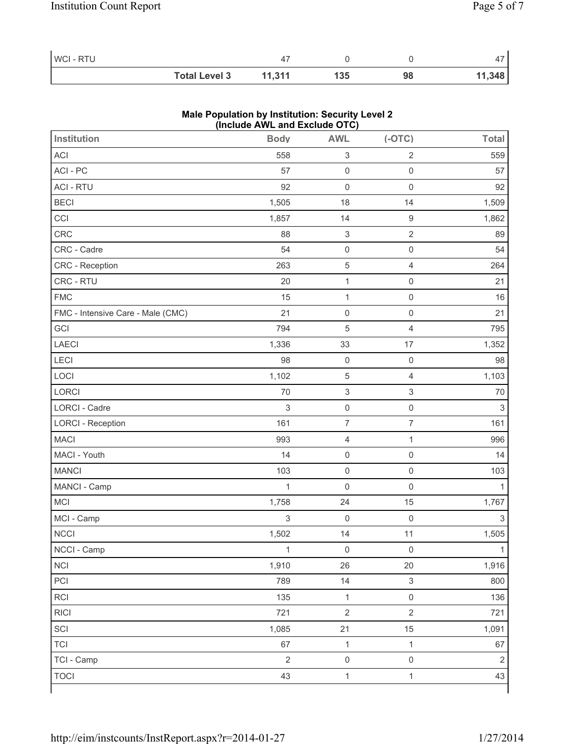| <b>WCI-RTU</b> |                      |        |     |    |        |
|----------------|----------------------|--------|-----|----|--------|
|                | <b>Total Level 3</b> | 11.311 | 135 | 98 | 11,348 |

### **Male Population by Institution: Security Level 2 (Include AWL and Exclude OTC)**

| <b>Institution</b>                | <b>Body</b>    | <b>AWL</b>                | $(-OTC)$                 | <b>Total</b>              |
|-----------------------------------|----------------|---------------------------|--------------------------|---------------------------|
| <b>ACI</b>                        | 558            | $\ensuremath{\mathsf{3}}$ | $\sqrt{2}$               | 559                       |
| ACI - PC                          | 57             | $\mathsf 0$               | $\mathsf{O}\xspace$      | 57                        |
| <b>ACI - RTU</b>                  | 92             | $\mathsf 0$               | $\mathbf 0$              | 92                        |
| <b>BECI</b>                       | 1,505          | 18                        | 14                       | 1,509                     |
| CCI                               | 1,857          | 14                        | $\boldsymbol{9}$         | 1,862                     |
| CRC                               | 88             | $\ensuremath{\mathsf{3}}$ | $\sqrt{2}$               | 89                        |
| CRC - Cadre                       | 54             | $\mathsf{O}\xspace$       | $\boldsymbol{0}$         | 54                        |
| CRC - Reception                   | 263            | $\,$ 5 $\,$               | $\overline{4}$           | 264                       |
| CRC - RTU                         | 20             | $\mathbf{1}$              | $\mathsf{O}\xspace$      | 21                        |
| <b>FMC</b>                        | 15             | $\mathbf{1}$              | $\mathsf 0$              | 16                        |
| FMC - Intensive Care - Male (CMC) | 21             | $\mathsf{O}\xspace$       | $\mathbf 0$              | 21                        |
| GCI                               | 794            | $\sqrt{5}$                | $\overline{\mathcal{L}}$ | 795                       |
| LAECI                             | 1,336          | 33                        | 17                       | 1,352                     |
| LECI                              | 98             | $\mathsf{O}\xspace$       | $\mathsf{O}\xspace$      | 98                        |
| LOCI                              | 1,102          | $\,$ 5 $\,$               | $\overline{4}$           | 1,103                     |
| LORCI                             | 70             | $\ensuremath{\mathsf{3}}$ | $\,$ 3 $\,$              | 70                        |
| LORCI - Cadre                     | $\,$ 3 $\,$    | $\mathsf{O}\xspace$       | $\mathsf{O}\xspace$      | $\ensuremath{\mathsf{3}}$ |
| <b>LORCI - Reception</b>          | 161            | $\overline{\mathcal{I}}$  | $\overline{7}$           | 161                       |
| <b>MACI</b>                       | 993            | $\overline{4}$            | $\mathbf 1$              | 996                       |
| MACI - Youth                      | 14             | $\mathsf{O}\xspace$       | $\mathsf 0$              | 14                        |
| <b>MANCI</b>                      | 103            | $\mathsf{O}\xspace$       | $\mathbf 0$              | 103                       |
| MANCI - Camp                      | $\mathbf{1}$   | $\mathsf{O}\xspace$       | $\mathsf{O}\xspace$      | 1                         |
| <b>MCI</b>                        | 1,758          | 24                        | 15                       | 1,767                     |
| MCI - Camp                        | 3              | $\mathsf{O}\xspace$       | $\mathsf{O}\xspace$      | $\sqrt{3}$                |
| <b>NCCI</b>                       | 1,502          | 14                        | 11                       | 1,505                     |
| NCCI - Camp                       | $\mathbf{1}$   | $\mathsf{O}\xspace$       | $\mathsf{O}\xspace$      | $\mathbf 1$               |
| <b>NCI</b>                        | 1,910          | 26                        | 20                       | 1,916                     |
| PCI                               | 789            | 14                        | $\mathsf 3$              | 800                       |
| RCI                               | 135            | $\mathbf{1}$              | $\mathsf{O}\xspace$      | 136                       |
| <b>RICI</b>                       | 721            | $\sqrt{2}$                | $\overline{2}$           | 721                       |
| SCI                               | 1,085          | 21                        | 15                       | 1,091                     |
| <b>TCI</b>                        | 67             | $\mathbf{1}$              | $\mathbf{1}$             | 67                        |
| TCI - Camp                        | $\overline{2}$ | $\mathsf{O}\xspace$       | $\mathsf 0$              | $\mathbf 2$               |
| <b>TOCI</b>                       | 43             | $\mathbf{1}$              | $\mathbf{1}$             | 43                        |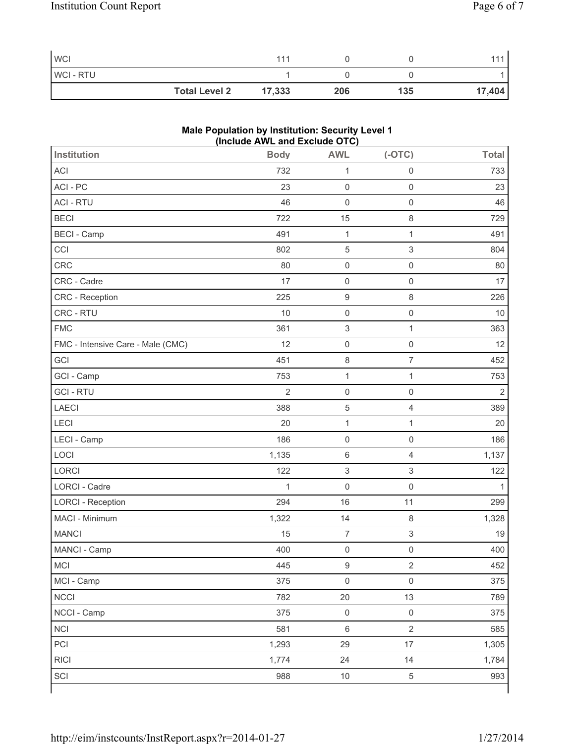| <b>WCI</b> |                      |        |     |     | 111    |
|------------|----------------------|--------|-----|-----|--------|
| WCI-RTU    |                      |        |     |     |        |
|            | <b>Total Level 2</b> | 17,333 | 206 | 135 | 17,404 |

| Male Population by Institution: Security Level 1 |
|--------------------------------------------------|
| (Include AWL and Exclude OTC)                    |

| Institution                       | <b>Body</b>    | <b>AWL</b>          | $(-OTC)$                  | <b>Total</b>   |
|-----------------------------------|----------------|---------------------|---------------------------|----------------|
| <b>ACI</b>                        | 732            | $\mathbf{1}$        | $\mathsf{O}\xspace$       | 733            |
| ACI-PC                            | 23             | $\mathsf{O}\xspace$ | $\mathbf 0$               | 23             |
| <b>ACI - RTU</b>                  | 46             | $\mathsf 0$         | $\mathsf{O}\xspace$       | 46             |
| <b>BECI</b>                       | 722            | 15                  | $\,8\,$                   | 729            |
| <b>BECI - Camp</b>                | 491            | $\mathbf 1$         | $\mathbf{1}$              | 491            |
| CCI                               | 802            | $\,$ 5 $\,$         | $\ensuremath{\mathsf{3}}$ | 804            |
| CRC                               | 80             | $\mathsf{O}\xspace$ | $\mathsf{O}\xspace$       | 80             |
| CRC - Cadre                       | 17             | $\mathsf{O}\xspace$ | $\mathsf{O}\xspace$       | 17             |
| CRC - Reception                   | 225            | $\boldsymbol{9}$    | $\,8\,$                   | 226            |
| CRC - RTU                         | 10             | $\mathsf{O}\xspace$ | $\mathsf{O}\xspace$       | 10             |
| <b>FMC</b>                        | 361            | $\mathsf 3$         | $\mathbf 1$               | 363            |
| FMC - Intensive Care - Male (CMC) | 12             | $\mathsf{O}\xspace$ | $\mathsf{O}\xspace$       | 12             |
| GCI                               | 451            | $\,8\,$             | $\overline{7}$            | 452            |
| GCI - Camp                        | 753            | $\mathbf{1}$        | $\mathbf 1$               | 753            |
| <b>GCI-RTU</b>                    | $\overline{2}$ | $\mathsf{O}\xspace$ | $\mathbf 0$               | $\overline{2}$ |
| <b>LAECI</b>                      | 388            | $\,$ 5 $\,$         | $\overline{4}$            | 389            |
| LECI                              | 20             | $\mathbf{1}$        | $\mathbf 1$               | 20             |
| LECI - Camp                       | 186            | $\mathsf{O}\xspace$ | $\mathsf{O}\xspace$       | 186            |
| LOCI                              | 1,135          | 6                   | $\overline{4}$            | 1,137          |
| LORCI                             | 122            | 3                   | 3                         | 122            |
| LORCI - Cadre                     | $\mathbf{1}$   | $\mathsf{O}\xspace$ | $\mathbf 0$               | $\mathbf{1}$   |
| <b>LORCI - Reception</b>          | 294            | 16                  | 11                        | 299            |
| MACI - Minimum                    | 1,322          | 14                  | $\,8\,$                   | 1,328          |
| <b>MANCI</b>                      | 15             | $\overline{7}$      | $\mathsf 3$               | 19             |
| MANCI - Camp                      | 400            | $\mathsf{O}\xspace$ | $\mathsf{O}\xspace$       | 400            |
| <b>MCI</b>                        | 445            | $\boldsymbol{9}$    | $\mathbf 2$               | 452            |
| MCI - Camp                        | 375            | $\mathsf{O}\xspace$ | $\mathsf{O}\xspace$       | 375            |
| <b>NCCI</b>                       | 782            | 20                  | 13                        | 789            |
| NCCI - Camp                       | 375            | $\mathsf{O}\xspace$ | $\mathsf 0$               | 375            |
| <b>NCI</b>                        | 581            | 6                   | $\sqrt{2}$                | 585            |
| PCI                               | 1,293          | 29                  | $17$                      | 1,305          |
| <b>RICI</b>                       | 1,774          | 24                  | 14                        | 1,784          |
| SCI                               | 988            | $10\,$              | $\,$ 5 $\,$               | 993            |